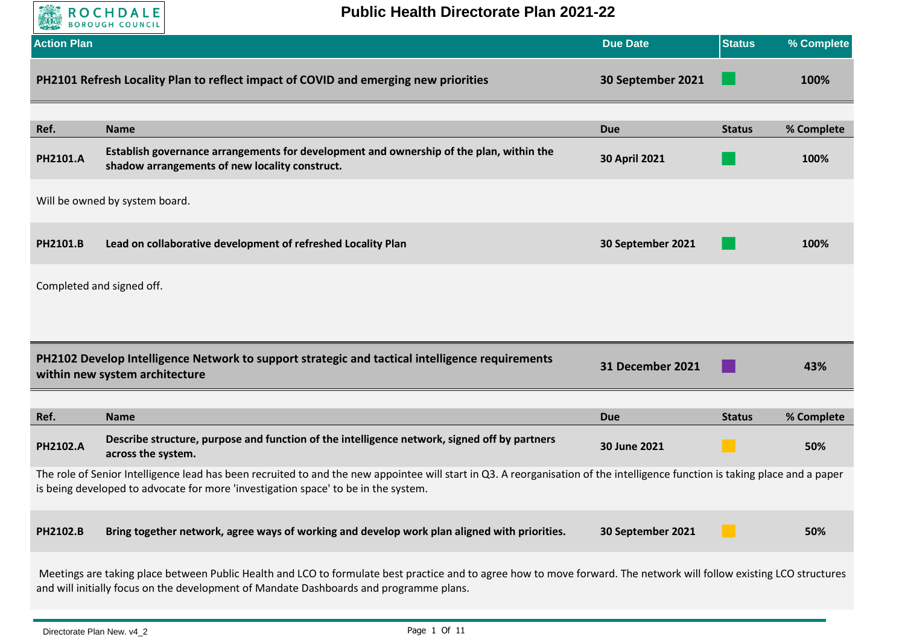

**Public Health Directorate Plan 2021-22**

| <b>Action Plan</b> |                                                                                                                                                                                                                                                                    | <b>Due Date</b>      | <b>Status</b> | % Complete |
|--------------------|--------------------------------------------------------------------------------------------------------------------------------------------------------------------------------------------------------------------------------------------------------------------|----------------------|---------------|------------|
|                    | PH2101 Refresh Locality Plan to reflect impact of COVID and emerging new priorities                                                                                                                                                                                | 30 September 2021    |               | 100%       |
| Ref.               | <b>Name</b>                                                                                                                                                                                                                                                        | <b>Due</b>           | <b>Status</b> | % Complete |
| <b>PH2101.A</b>    | Establish governance arrangements for development and ownership of the plan, within the<br>shadow arrangements of new locality construct.                                                                                                                          | <b>30 April 2021</b> |               | 100%       |
|                    | Will be owned by system board.                                                                                                                                                                                                                                     |                      |               |            |
| <b>PH2101.B</b>    | Lead on collaborative development of refreshed Locality Plan                                                                                                                                                                                                       | 30 September 2021    |               | 100%       |
|                    | Completed and signed off.                                                                                                                                                                                                                                          |                      |               |            |
|                    |                                                                                                                                                                                                                                                                    |                      |               |            |
|                    | PH2102 Develop Intelligence Network to support strategic and tactical intelligence requirements<br>within new system architecture                                                                                                                                  | 31 December 2021     |               | 43%        |
| Ref.               | <b>Name</b>                                                                                                                                                                                                                                                        | <b>Due</b>           | <b>Status</b> | % Complete |
| PH2102.A           | Describe structure, purpose and function of the intelligence network, signed off by partners<br>across the system.                                                                                                                                                 | 30 June 2021         |               | 50%        |
|                    | The role of Senior Intelligence lead has been recruited to and the new appointee will start in Q3. A reorganisation of the intelligence function is taking place and a paper<br>is being developed to advocate for more 'investigation space' to be in the system. |                      |               |            |
| PH2102.B           | Bring together network, agree ways of working and develop work plan aligned with priorities.                                                                                                                                                                       | 30 September 2021    |               | 50%        |
|                    | Meetings are taking place between Public Health and LCO to formulate best practice and to agree how to move forward. The network will follow existing LCO structures                                                                                               |                      |               |            |

Meetings are taking place between Public Health and LCO to formulate best practice and to agree how to move forward. The network will follow existing LCO structures and will initially focus on the development of Mandate Dashboards and programme plans.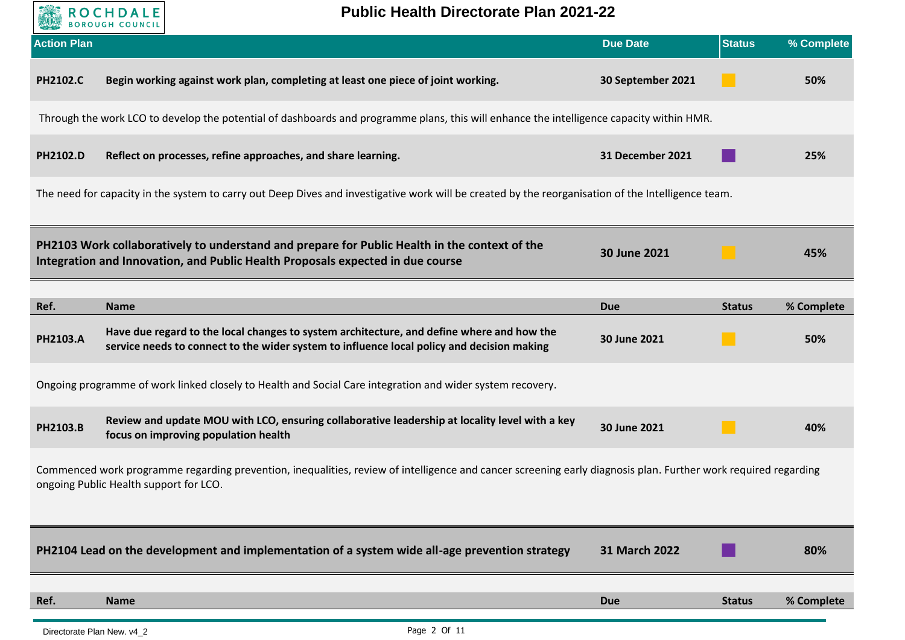

**Public Health Directorate Plan 2021-22**

| <b>Action Plan</b> |                                                                                                                                                                                                          | <b>Due Date</b>         | <b>Status</b> | % Complete        |
|--------------------|----------------------------------------------------------------------------------------------------------------------------------------------------------------------------------------------------------|-------------------------|---------------|-------------------|
| <b>PH2102.C</b>    | Begin working against work plan, completing at least one piece of joint working.                                                                                                                         | 30 September 2021       |               | 50%               |
|                    | Through the work LCO to develop the potential of dashboards and programme plans, this will enhance the intelligence capacity within HMR.                                                                 |                         |               |                   |
| PH2102.D           | Reflect on processes, refine approaches, and share learning.                                                                                                                                             | <b>31 December 2021</b> |               | 25%               |
|                    | The need for capacity in the system to carry out Deep Dives and investigative work will be created by the reorganisation of the Intelligence team.                                                       |                         |               |                   |
|                    | PH2103 Work collaboratively to understand and prepare for Public Health in the context of the<br>Integration and Innovation, and Public Health Proposals expected in due course                          | 30 June 2021            |               | 45%               |
| Ref.               | <b>Name</b>                                                                                                                                                                                              | <b>Due</b>              | <b>Status</b> |                   |
| <b>PH2103.A</b>    | Have due regard to the local changes to system architecture, and define where and how the<br>service needs to connect to the wider system to influence local policy and decision making                  | 30 June 2021            |               | % Complete<br>50% |
|                    | Ongoing programme of work linked closely to Health and Social Care integration and wider system recovery.                                                                                                |                         |               |                   |
| PH2103.B           | Review and update MOU with LCO, ensuring collaborative leadership at locality level with a key<br>focus on improving population health                                                                   | 30 June 2021            |               | 40%               |
|                    | Commenced work programme regarding prevention, inequalities, review of intelligence and cancer screening early diagnosis plan. Further work required regarding<br>ongoing Public Health support for LCO. |                         |               |                   |
|                    | PH2104 Lead on the development and implementation of a system wide all-age prevention strategy                                                                                                           | 31 March 2022           |               | 80%               |
| Ref.               | <b>Name</b>                                                                                                                                                                                              | <b>Due</b>              | <b>Status</b> | % Complete        |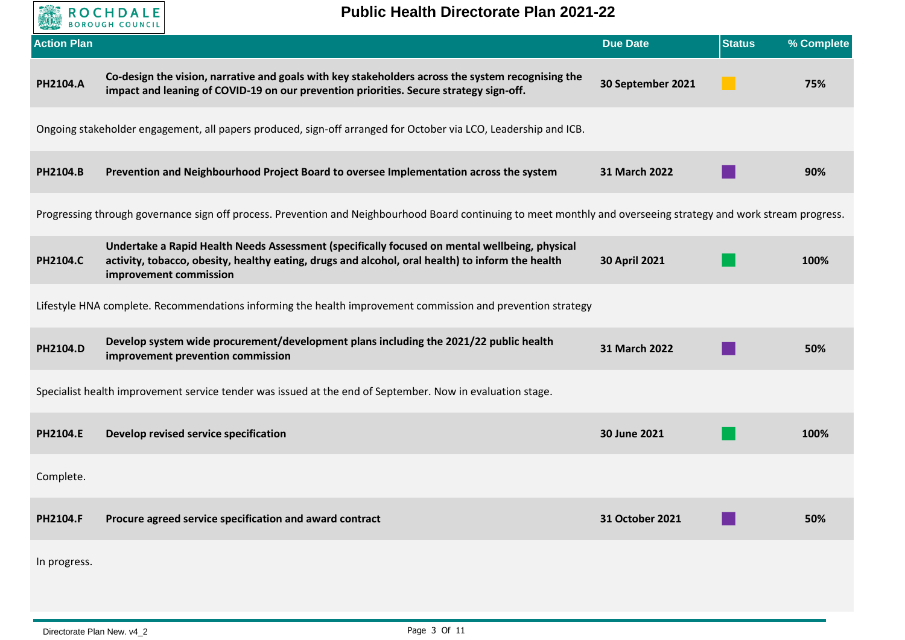

| <b>Action Plan</b> |                                                                                                                                                                                                                             | <b>Due Date</b>      | <b>Status</b> | % Complete |
|--------------------|-----------------------------------------------------------------------------------------------------------------------------------------------------------------------------------------------------------------------------|----------------------|---------------|------------|
| PH2104.A           | Co-design the vision, narrative and goals with key stakeholders across the system recognising the<br>impact and leaning of COVID-19 on our prevention priorities. Secure strategy sign-off.                                 | 30 September 2021    |               | 75%        |
|                    | Ongoing stakeholder engagement, all papers produced, sign-off arranged for October via LCO, Leadership and ICB.                                                                                                             |                      |               |            |
| PH2104.B           | Prevention and Neighbourhood Project Board to oversee Implementation across the system                                                                                                                                      | 31 March 2022        |               | 90%        |
|                    | Progressing through governance sign off process. Prevention and Neighbourhood Board continuing to meet monthly and overseeing strategy and work stream progress.                                                            |                      |               |            |
| <b>PH2104.C</b>    | Undertake a Rapid Health Needs Assessment (specifically focused on mental wellbeing, physical<br>activity, tobacco, obesity, healthy eating, drugs and alcohol, oral health) to inform the health<br>improvement commission | <b>30 April 2021</b> |               | 100%       |
|                    | Lifestyle HNA complete. Recommendations informing the health improvement commission and prevention strategy                                                                                                                 |                      |               |            |
| PH2104.D           | Develop system wide procurement/development plans including the 2021/22 public health<br>improvement prevention commission                                                                                                  | 31 March 2022        |               | 50%        |
|                    | Specialist health improvement service tender was issued at the end of September. Now in evaluation stage.                                                                                                                   |                      |               |            |
| PH2104.E           | Develop revised service specification                                                                                                                                                                                       | 30 June 2021         |               | 100%       |
| Complete.          |                                                                                                                                                                                                                             |                      |               |            |
| PH2104.F           | Procure agreed service specification and award contract                                                                                                                                                                     | 31 October 2021      |               | 50%        |
| In progress.       |                                                                                                                                                                                                                             |                      |               |            |
|                    |                                                                                                                                                                                                                             |                      |               |            |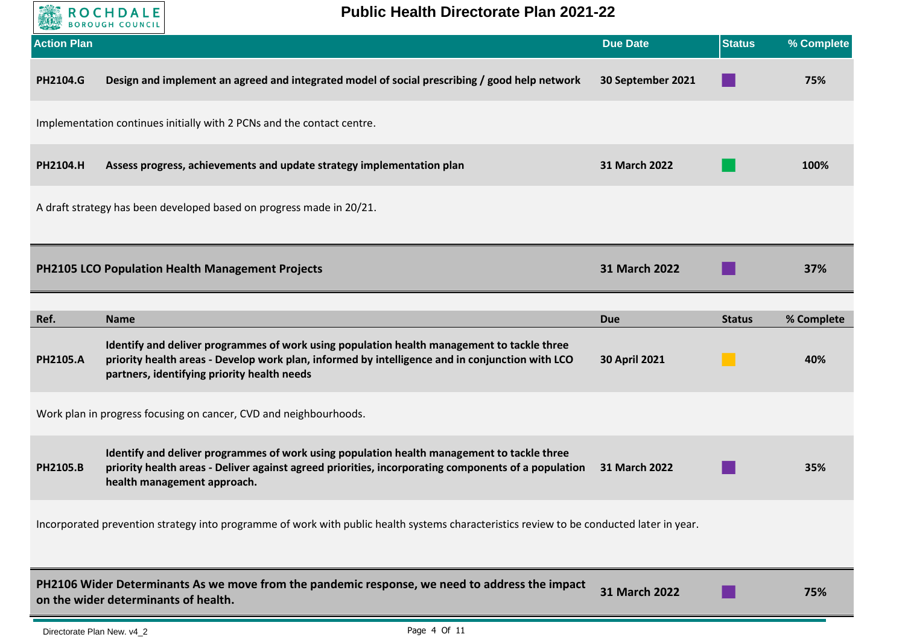

**Public Health Directorate Plan 2021-22**

| <b>Action Plan</b> |                                                                                                                                                                                                                                                             | <b>Due Date</b>                    | <b>Status</b> | % Complete        |
|--------------------|-------------------------------------------------------------------------------------------------------------------------------------------------------------------------------------------------------------------------------------------------------------|------------------------------------|---------------|-------------------|
| <b>PH2104.G</b>    | Design and implement an agreed and integrated model of social prescribing / good help network                                                                                                                                                               | 30 September 2021                  |               | 75%               |
|                    | Implementation continues initially with 2 PCNs and the contact centre.                                                                                                                                                                                      |                                    |               |                   |
| PH2104.H           | Assess progress, achievements and update strategy implementation plan                                                                                                                                                                                       | 31 March 2022                      |               | 100%              |
|                    | A draft strategy has been developed based on progress made in 20/21.                                                                                                                                                                                        |                                    |               |                   |
|                    | <b>PH2105 LCO Population Health Management Projects</b>                                                                                                                                                                                                     | 31 March 2022                      |               | 37%               |
|                    |                                                                                                                                                                                                                                                             |                                    |               |                   |
| Ref.<br>PH2105.A   | <b>Name</b><br>Identify and deliver programmes of work using population health management to tackle three<br>priority health areas - Develop work plan, informed by intelligence and in conjunction with LCO<br>partners, identifying priority health needs | <b>Due</b><br><b>30 April 2021</b> | <b>Status</b> | % Complete<br>40% |
|                    | Work plan in progress focusing on cancer, CVD and neighbourhoods.                                                                                                                                                                                           |                                    |               |                   |
| PH2105.B           | Identify and deliver programmes of work using population health management to tackle three<br>priority health areas - Deliver against agreed priorities, incorporating components of a population<br>health management approach.                            | 31 March 2022                      |               | 35%               |
|                    | Incorporated prevention strategy into programme of work with public health systems characteristics review to be conducted later in year.                                                                                                                    |                                    |               |                   |
|                    | PH2106 Wider Determinants As we move from the pandemic response, we need to address the impact<br>on the wider determinants of health.                                                                                                                      | 31 March 2022                      |               | 75%               |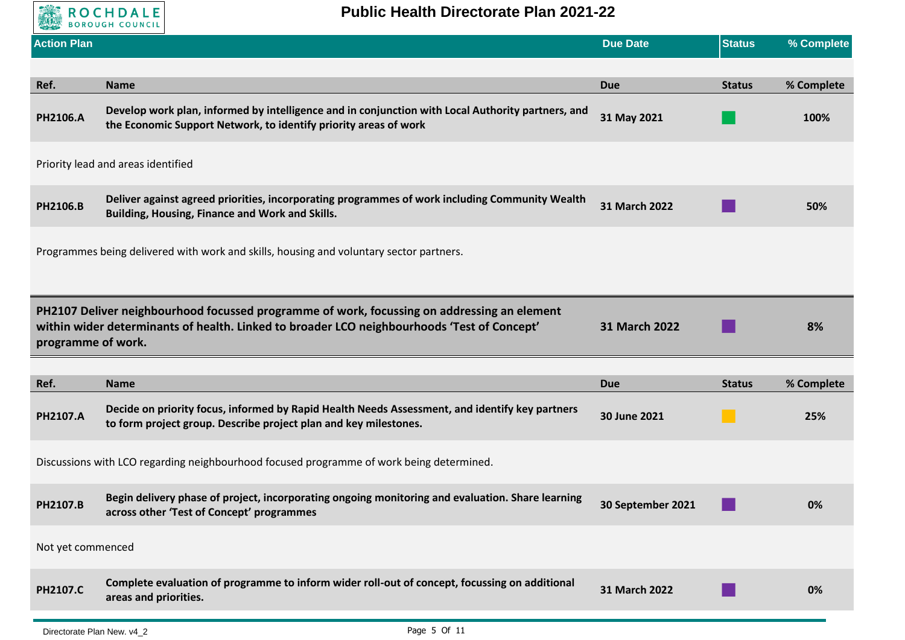

| <b>Action Plan</b> |                                                                                                                                                                                            | <b>Due Date</b>   | <b>Status</b> | % Complete |
|--------------------|--------------------------------------------------------------------------------------------------------------------------------------------------------------------------------------------|-------------------|---------------|------------|
|                    |                                                                                                                                                                                            |                   |               |            |
| Ref.               | <b>Name</b>                                                                                                                                                                                | <b>Due</b>        | <b>Status</b> | % Complete |
| <b>PH2106.A</b>    | Develop work plan, informed by intelligence and in conjunction with Local Authority partners, and<br>the Economic Support Network, to identify priority areas of work                      | 31 May 2021       |               | 100%       |
|                    | Priority lead and areas identified                                                                                                                                                         |                   |               |            |
| PH2106.B           | Deliver against agreed priorities, incorporating programmes of work including Community Wealth<br>Building, Housing, Finance and Work and Skills.                                          | 31 March 2022     |               | 50%        |
|                    | Programmes being delivered with work and skills, housing and voluntary sector partners.                                                                                                    |                   |               |            |
| programme of work. | PH2107 Deliver neighbourhood focussed programme of work, focussing on addressing an element<br>within wider determinants of health. Linked to broader LCO neighbourhoods 'Test of Concept' | 31 March 2022     |               | 8%         |
|                    |                                                                                                                                                                                            |                   |               |            |
| Ref.               | <b>Name</b>                                                                                                                                                                                | <b>Due</b>        | <b>Status</b> | % Complete |
| PH2107.A           | Decide on priority focus, informed by Rapid Health Needs Assessment, and identify key partners<br>to form project group. Describe project plan and key milestones.                         | 30 June 2021      |               | 25%        |
|                    | Discussions with LCO regarding neighbourhood focused programme of work being determined.                                                                                                   |                   |               |            |
| PH2107.B           | Begin delivery phase of project, incorporating ongoing monitoring and evaluation. Share learning<br>across other 'Test of Concept' programmes                                              | 30 September 2021 |               | 0%         |
| Not yet commenced  |                                                                                                                                                                                            |                   |               |            |
| PH2107.C           | Complete evaluation of programme to inform wider roll-out of concept, focussing on additional<br>areas and priorities.                                                                     | 31 March 2022     |               | 0%         |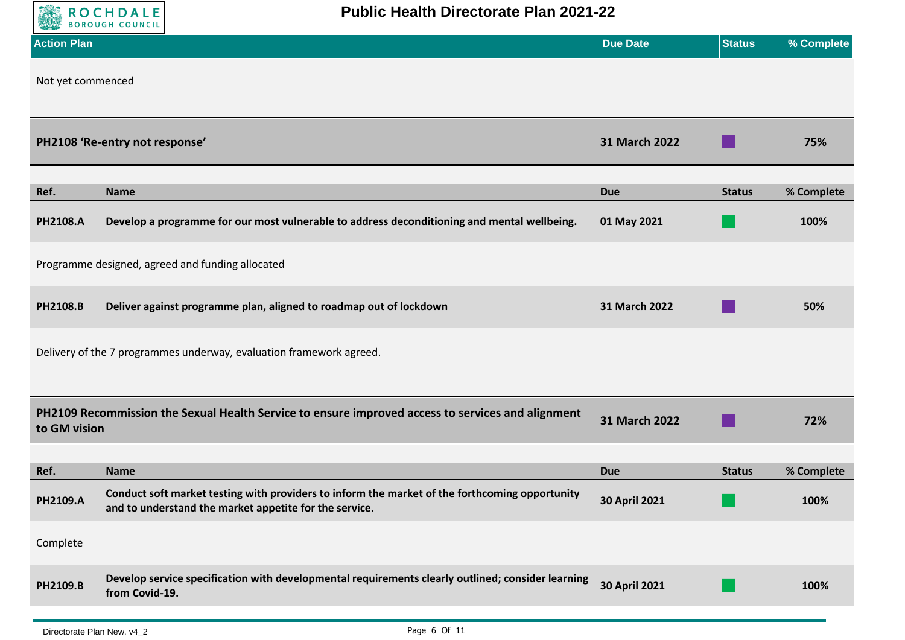

| <b>Action Plan</b> |                                                                                                                                                          | <b>Due Date</b>      | <b>Status</b> | % Complete |
|--------------------|----------------------------------------------------------------------------------------------------------------------------------------------------------|----------------------|---------------|------------|
| Not yet commenced  |                                                                                                                                                          |                      |               |            |
|                    | PH2108 'Re-entry not response'                                                                                                                           | 31 March 2022        |               | 75%        |
| Ref.               | <b>Name</b>                                                                                                                                              | <b>Due</b>           | <b>Status</b> | % Complete |
| <b>PH2108.A</b>    | Develop a programme for our most vulnerable to address deconditioning and mental wellbeing.                                                              | 01 May 2021          |               | 100%       |
|                    | Programme designed, agreed and funding allocated                                                                                                         |                      |               |            |
| PH2108.B           | Deliver against programme plan, aligned to roadmap out of lockdown                                                                                       | 31 March 2022        |               | 50%        |
|                    | Delivery of the 7 programmes underway, evaluation framework agreed.                                                                                      |                      |               |            |
| to GM vision       | PH2109 Recommission the Sexual Health Service to ensure improved access to services and alignment                                                        | 31 March 2022        |               | 72%        |
| Ref.               | <b>Name</b>                                                                                                                                              | <b>Due</b>           | <b>Status</b> | % Complete |
| PH2109.A           | Conduct soft market testing with providers to inform the market of the forthcoming opportunity<br>and to understand the market appetite for the service. | <b>30 April 2021</b> |               | 100%       |
| Complete           |                                                                                                                                                          |                      |               |            |
| PH2109.B           | Develop service specification with developmental requirements clearly outlined; consider learning<br>from Covid-19.                                      | <b>30 April 2021</b> |               | 100%       |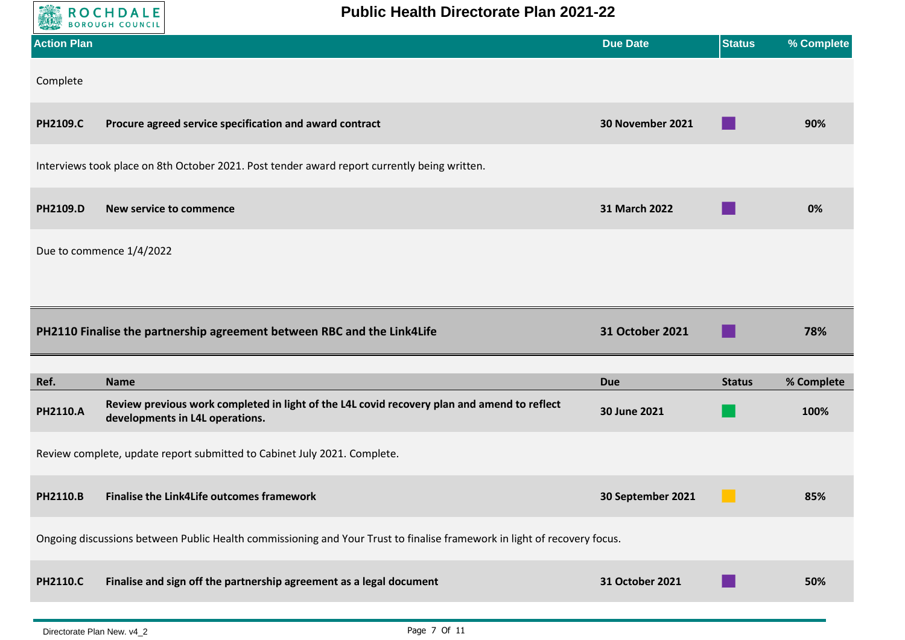

| <b>Action Plan</b>      |                                                                                                                                               | <b>Due Date</b>            | <b>Status</b> | % Complete         |
|-------------------------|-----------------------------------------------------------------------------------------------------------------------------------------------|----------------------------|---------------|--------------------|
| Complete                |                                                                                                                                               |                            |               |                    |
| <b>PH2109.C</b>         | Procure agreed service specification and award contract                                                                                       | 30 November 2021           |               | 90%                |
|                         | Interviews took place on 8th October 2021. Post tender award report currently being written.                                                  |                            |               |                    |
| PH2109.D                | New service to commence                                                                                                                       | 31 March 2022              |               | 0%                 |
|                         | Due to commence 1/4/2022                                                                                                                      |                            |               |                    |
|                         |                                                                                                                                               |                            |               |                    |
|                         | PH2110 Finalise the partnership agreement between RBC and the Link4Life                                                                       | 31 October 2021            |               | 78%                |
|                         |                                                                                                                                               |                            |               |                    |
| Ref.<br><b>PH2110.A</b> | <b>Name</b><br>Review previous work completed in light of the L4L covid recovery plan and amend to reflect<br>developments in L4L operations. | <b>Due</b><br>30 June 2021 | <b>Status</b> | % Complete<br>100% |
|                         | Review complete, update report submitted to Cabinet July 2021. Complete.                                                                      |                            |               |                    |
| <b>PH2110.B</b>         | <b>Finalise the Link4Life outcomes framework</b>                                                                                              | 30 September 2021          |               | 85%                |
|                         | Ongoing discussions between Public Health commissioning and Your Trust to finalise framework in light of recovery focus.                      |                            |               |                    |
| <b>PH2110.C</b>         | Finalise and sign off the partnership agreement as a legal document                                                                           | 31 October 2021            |               | 50%                |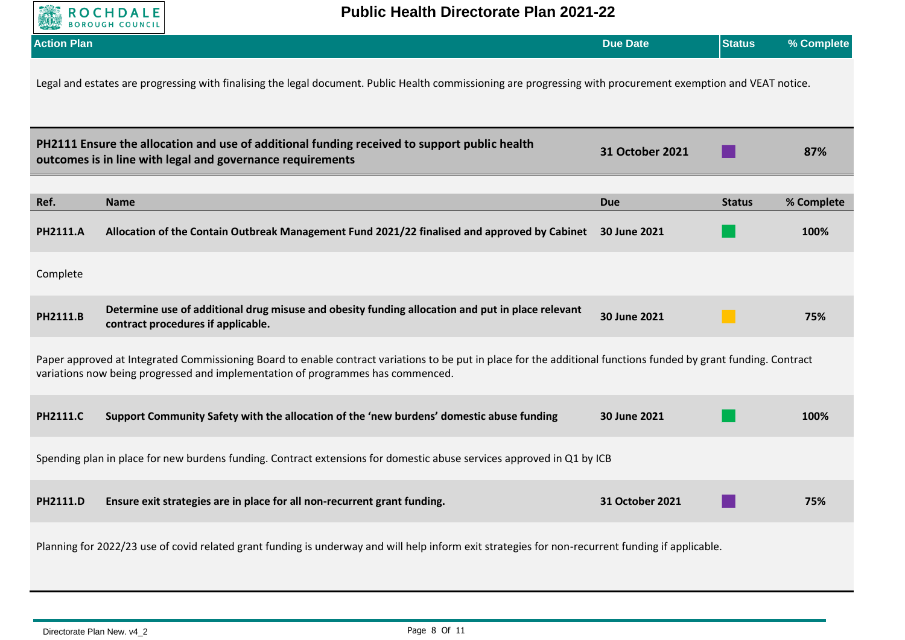

| <b>Action Plan</b> |                                                                                                                                                                                                                                                     | <b>Due Date</b> | <b>Status</b> | % Complete |  |  |
|--------------------|-----------------------------------------------------------------------------------------------------------------------------------------------------------------------------------------------------------------------------------------------------|-----------------|---------------|------------|--|--|
|                    | Legal and estates are progressing with finalising the legal document. Public Health commissioning are progressing with procurement exemption and VEAT notice.                                                                                       |                 |               |            |  |  |
|                    | PH2111 Ensure the allocation and use of additional funding received to support public health<br>outcomes is in line with legal and governance requirements                                                                                          | 31 October 2021 |               | 87%        |  |  |
| Ref.               | <b>Name</b>                                                                                                                                                                                                                                         | <b>Due</b>      | <b>Status</b> | % Complete |  |  |
| <b>PH2111.A</b>    | Allocation of the Contain Outbreak Management Fund 2021/22 finalised and approved by Cabinet                                                                                                                                                        | 30 June 2021    |               | 100%       |  |  |
| Complete           |                                                                                                                                                                                                                                                     |                 |               |            |  |  |
| PH2111.B           | Determine use of additional drug misuse and obesity funding allocation and put in place relevant<br>contract procedures if applicable.                                                                                                              | 30 June 2021    |               | 75%        |  |  |
|                    | Paper approved at Integrated Commissioning Board to enable contract variations to be put in place for the additional functions funded by grant funding. Contract<br>variations now being progressed and implementation of programmes has commenced. |                 |               |            |  |  |
| <b>PH2111.C</b>    | Support Community Safety with the allocation of the 'new burdens' domestic abuse funding                                                                                                                                                            | 30 June 2021    |               | 100%       |  |  |
|                    | Spending plan in place for new burdens funding. Contract extensions for domestic abuse services approved in Q1 by ICB                                                                                                                               |                 |               |            |  |  |
| <b>PH2111.D</b>    | Ensure exit strategies are in place for all non-recurrent grant funding.                                                                                                                                                                            | 31 October 2021 |               | 75%        |  |  |
|                    | Planning for 2022/23 use of covid related grant funding is underway and will help inform exit strategies for non-recurrent funding if applicable.                                                                                                   |                 |               |            |  |  |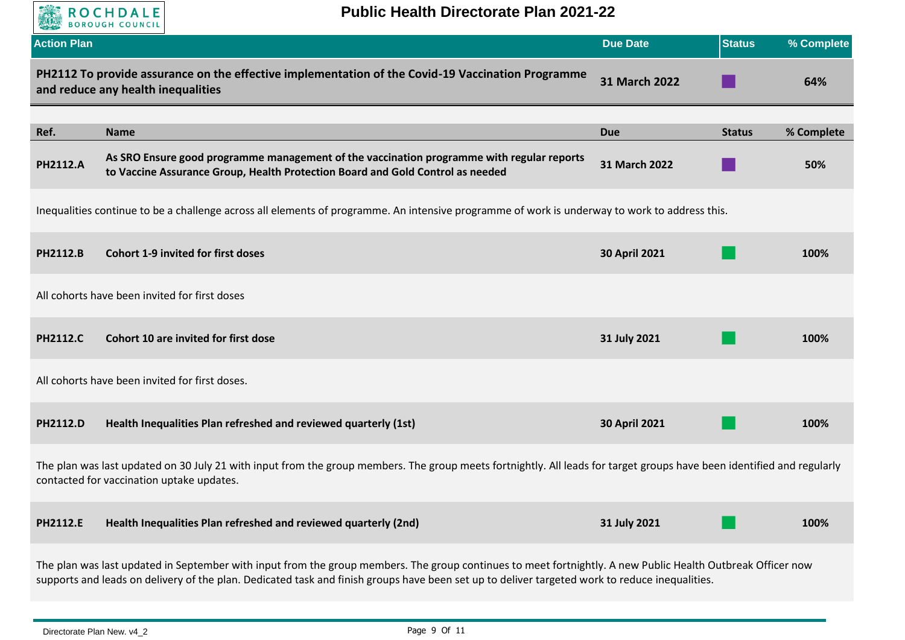

| <b>Action Plan</b> |                                                                                                                                                                                                                     | <b>Due Date</b> | <b>Status</b> | % Complete |
|--------------------|---------------------------------------------------------------------------------------------------------------------------------------------------------------------------------------------------------------------|-----------------|---------------|------------|
|                    | PH2112 To provide assurance on the effective implementation of the Covid-19 Vaccination Programme<br>and reduce any health inequalities                                                                             | 31 March 2022   |               | 64%        |
|                    |                                                                                                                                                                                                                     |                 |               |            |
| Ref.               | <b>Name</b>                                                                                                                                                                                                         | <b>Due</b>      | <b>Status</b> | % Complete |
| <b>PH2112.A</b>    | As SRO Ensure good programme management of the vaccination programme with regular reports<br>to Vaccine Assurance Group, Health Protection Board and Gold Control as needed                                         | 31 March 2022   |               | 50%        |
|                    | Inequalities continue to be a challenge across all elements of programme. An intensive programme of work is underway to work to address this.                                                                       |                 |               |            |
| PH2112.B           | <b>Cohort 1-9 invited for first doses</b>                                                                                                                                                                           | 30 April 2021   |               | 100%       |
|                    | All cohorts have been invited for first doses                                                                                                                                                                       |                 |               |            |
| <b>PH2112.C</b>    | Cohort 10 are invited for first dose                                                                                                                                                                                | 31 July 2021    |               | 100%       |
|                    | All cohorts have been invited for first doses.                                                                                                                                                                      |                 |               |            |
| PH2112.D           | Health Inequalities Plan refreshed and reviewed quarterly (1st)                                                                                                                                                     | 30 April 2021   |               | 100%       |
|                    | The plan was last updated on 30 July 21 with input from the group members. The group meets fortnightly. All leads for target groups have been identified and regularly<br>contacted for vaccination uptake updates. |                 |               |            |
| <b>PH2112.E</b>    | Health Inequalities Plan refreshed and reviewed quarterly (2nd)                                                                                                                                                     | 31 July 2021    |               | 100%       |
|                    | The plan was last updated in September with input from the group members. The group continues to meet fortnightly. A new Public Health Outbreak Officer now                                                         |                 |               |            |

supports and leads on delivery of the plan. Dedicated task and finish groups have been set up to deliver targeted work to reduce inequalities.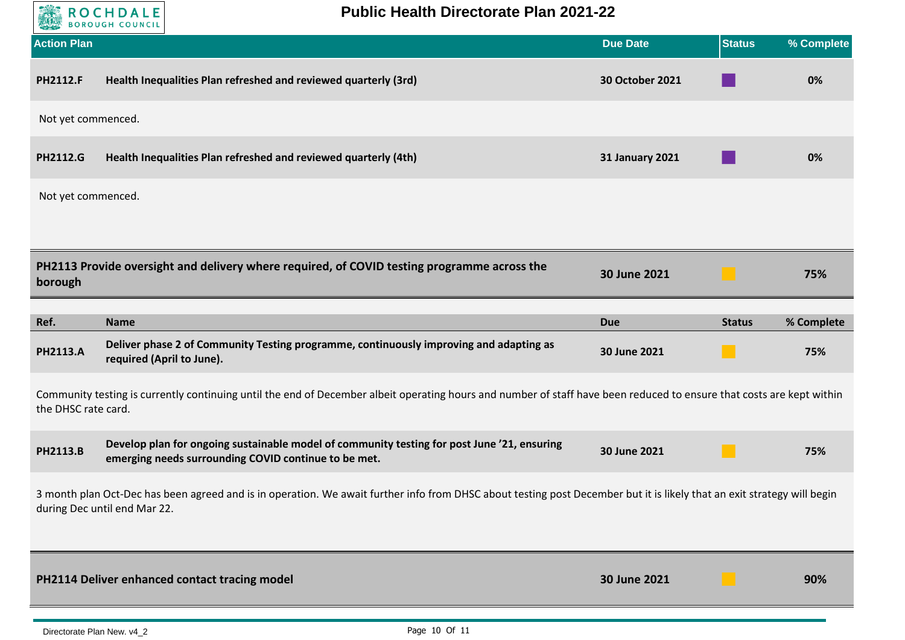

| <b>Action Plan</b>  |                                                                                                                                                                                                         | <b>Due Date</b>        | <b>Status</b> | % Complete |
|---------------------|---------------------------------------------------------------------------------------------------------------------------------------------------------------------------------------------------------|------------------------|---------------|------------|
| <b>PH2112.F</b>     | Health Inequalities Plan refreshed and reviewed quarterly (3rd)                                                                                                                                         | 30 October 2021        |               | 0%         |
| Not yet commenced.  |                                                                                                                                                                                                         |                        |               |            |
| <b>PH2112.G</b>     | Health Inequalities Plan refreshed and reviewed quarterly (4th)                                                                                                                                         | <b>31 January 2021</b> |               | 0%         |
| Not yet commenced.  |                                                                                                                                                                                                         |                        |               |            |
|                     |                                                                                                                                                                                                         |                        |               |            |
| borough             | PH2113 Provide oversight and delivery where required, of COVID testing programme across the                                                                                                             | 30 June 2021           |               | 75%        |
| Ref.                | <b>Name</b>                                                                                                                                                                                             | <b>Due</b>             | <b>Status</b> | % Complete |
| <b>PH2113.A</b>     | Deliver phase 2 of Community Testing programme, continuously improving and adapting as<br>required (April to June).                                                                                     | 30 June 2021           |               | 75%        |
| the DHSC rate card. | Community testing is currently continuing until the end of December albeit operating hours and number of staff have been reduced to ensure that costs are kept within                                   |                        |               |            |
| PH2113.B            | Develop plan for ongoing sustainable model of community testing for post June '21, ensuring<br>emerging needs surrounding COVID continue to be met.                                                     | 30 June 2021           | a se          | 75%        |
|                     | 3 month plan Oct-Dec has been agreed and is in operation. We await further info from DHSC about testing post December but it is likely that an exit strategy will begin<br>during Dec until end Mar 22. |                        |               |            |
|                     | PH2114 Deliver enhanced contact tracing model                                                                                                                                                           | 30 June 2021           |               | 90%        |
|                     |                                                                                                                                                                                                         |                        |               |            |